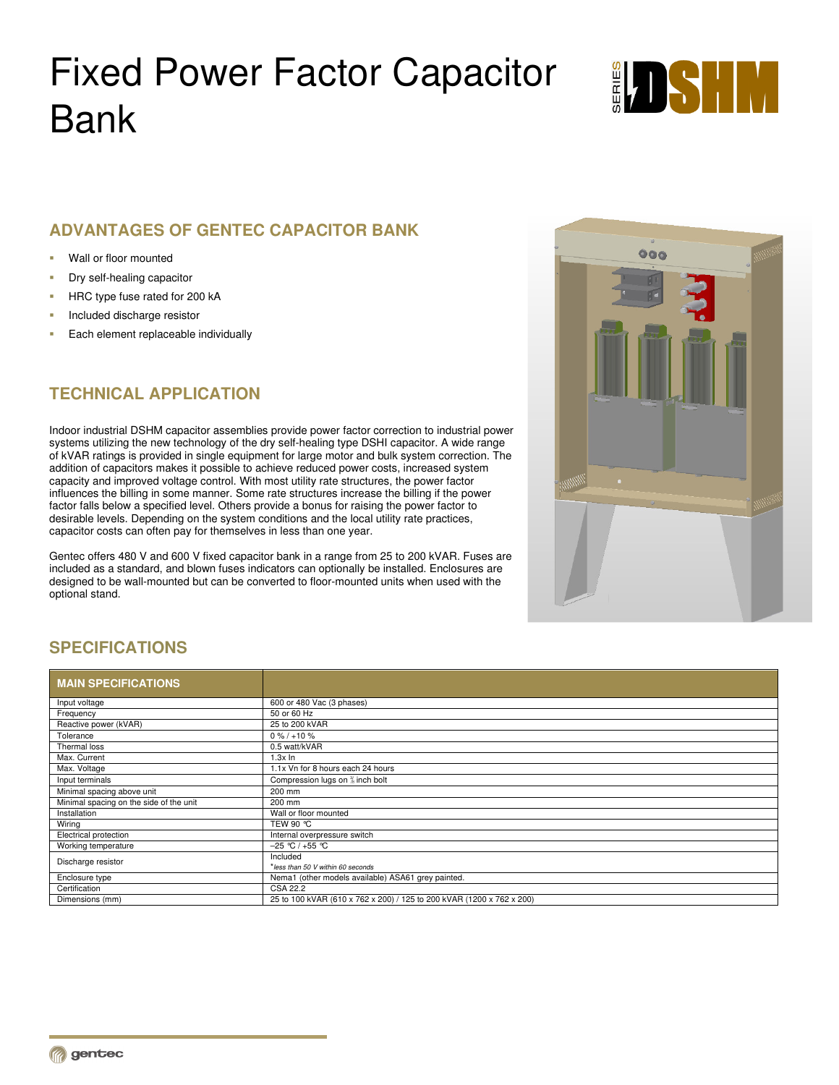# Fixed Power Factor Capacitor Bank



## **ADVANTAGES OF GENTEC CAPACITOR BANK**

- Wall or floor mounted
- Dry self-healing capacitor
- HRC type fuse rated for 200 kA
- Included discharge resistor
- Each element replaceable individually

# **TECHNICAL APPLICATION**

Indoor industrial DSHM capacitor assemblies provide power factor correction to industrial power systems utilizing the new technology of the dry self-healing type DSHI capacitor. A wide range of kVAR ratings is provided in single equipment for large motor and bulk system correction. The addition of capacitors makes it possible to achieve reduced power costs, increased system capacity and improved voltage control. With most utility rate structures, the power factor influences the billing in some manner. Some rate structures increase the billing if the power factor falls below a specified level. Others provide a bonus for raising the power factor to desirable levels. Depending on the system conditions and the local utility rate practices, capacitor costs can often pay for themselves in less than one year.

Gentec offers 480 V and 600 V fixed capacitor bank in a range from 25 to 200 kVAR. Fuses are included as a standard, and blown fuses indicators can optionally be installed. Enclosures are designed to be wall-mounted but can be converted to floor-mounted units when used with the optional stand.



# **SPECIFICATIONS**

| <b>MAIN SPECIFICATIONS</b>              |                                                                       |
|-----------------------------------------|-----------------------------------------------------------------------|
| Input voltage                           | 600 or 480 Vac (3 phases)                                             |
| Frequency                               | 50 or 60 Hz                                                           |
| Reactive power (kVAR)                   | 25 to 200 kVAR                                                        |
| Tolerance                               | $0\% / +10\%$                                                         |
| Thermal loss                            | 0.5 watt/kVAR                                                         |
| Max. Current                            | $1.3x$ In                                                             |
| Max. Voltage                            | 1.1x Vn for 8 hours each 24 hours                                     |
| Input terminals                         | Compression lugs on <sup>3</sup> inch bolt                            |
| Minimal spacing above unit              | 200 mm                                                                |
| Minimal spacing on the side of the unit | 200 mm                                                                |
| Installation                            | Wall or floor mounted                                                 |
| Wiring                                  | TEW 90 °C                                                             |
| Electrical protection                   | Internal overpressure switch                                          |
| Working temperature                     | $-25$ °C / +55 °C                                                     |
| Discharge resistor                      | Included                                                              |
|                                         | *less than 50 V within 60 seconds                                     |
| Enclosure type                          | Nema1 (other models available) ASA61 grey painted.                    |
| Certification                           | <b>CSA 22.2</b>                                                       |
| Dimensions (mm)                         | 25 to 100 kVAR (610 x 762 x 200) / 125 to 200 kVAR (1200 x 762 x 200) |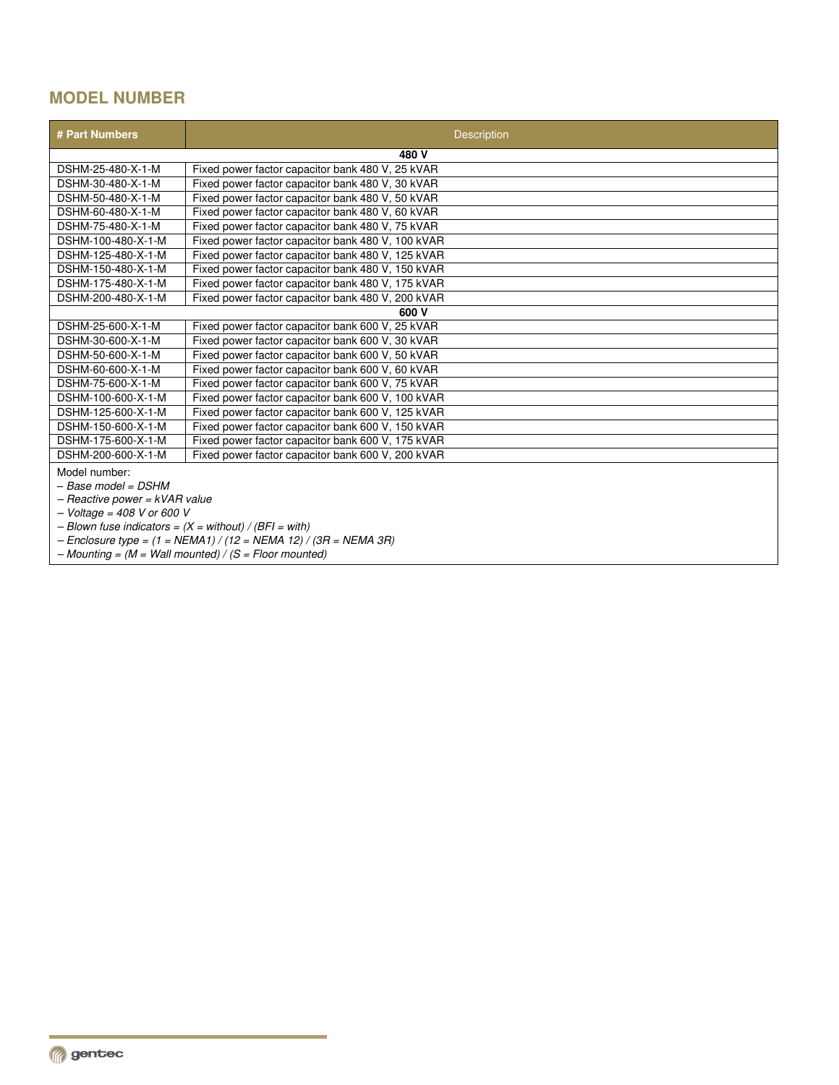# **MODEL NUMBER**

| # Part Numbers                                                     | <b>Description</b>                                     |  |
|--------------------------------------------------------------------|--------------------------------------------------------|--|
|                                                                    | 480 V                                                  |  |
| DSHM-25-480-X-1-M                                                  | Fixed power factor capacitor bank 480 V, 25 kVAR       |  |
| DSHM-30-480-X-1-M                                                  | Fixed power factor capacitor bank 480 V, 30 kVAR       |  |
| DSHM-50-480-X-1-M                                                  | Fixed power factor capacitor bank 480 V, 50 kVAR       |  |
| DSHM-60-480-X-1-M                                                  | Fixed power factor capacitor bank 480 V, 60 kVAR       |  |
| DSHM-75-480-X-1-M                                                  | Fixed power factor capacitor bank 480 V, 75 kVAR       |  |
| DSHM-100-480-X-1-M                                                 | Fixed power factor capacitor bank 480 V, 100 kVAR      |  |
| DSHM-125-480-X-1-M                                                 | Fixed power factor capacitor bank 480 V, 125 kVAR      |  |
| DSHM-150-480-X-1-M                                                 | Fixed power factor capacitor bank 480 V, 150 kVAR      |  |
| DSHM-175-480-X-1-M                                                 | Fixed power factor capacitor bank 480 V, 175 kVAR      |  |
| DSHM-200-480-X-1-M                                                 | Fixed power factor capacitor bank 480 V, 200 kVAR      |  |
| 600 V                                                              |                                                        |  |
| DSHM-25-600-X-1-M                                                  | Fixed power factor capacitor bank 600 V, 25 kVAR       |  |
| DSHM-30-600-X-1-M                                                  | Fixed power factor capacitor bank 600 V, 30 kVAR       |  |
| DSHM-50-600-X-1-M                                                  | Fixed power factor capacitor bank 600 V, 50 kVAR       |  |
| DSHM-60-600-X-1-M                                                  | Fixed power factor capacitor bank 600 V, 60 kVAR       |  |
| DSHM-75-600-X-1-M                                                  | Fixed power factor capacitor bank 600 V, 75 kVAR       |  |
| DSHM-100-600-X-1-M                                                 | Fixed power factor capacitor bank 600 V, 100 kVAR      |  |
| DSHM-125-600-X-1-M                                                 | Fixed power factor capacitor bank 600 V, 125 kVAR      |  |
| DSHM-150-600-X-1-M                                                 | Fixed power factor capacitor bank 600 V, 150 kVAR      |  |
| DSHM-175-600-X-1-M                                                 | Fixed power factor capacitor bank 600 V, 175 kVAR      |  |
| DSHM-200-600-X-1-M                                                 | Fixed power factor capacitor bank 600 V, 200 kVAR      |  |
| Model number:                                                      |                                                        |  |
| – Base model = DSHM                                                |                                                        |  |
| - Reactive power = kVAR value                                      |                                                        |  |
| $-Voltaq = 408$ V or 600 V                                         |                                                        |  |
| - Blown fuse indicators = $(X = without) / (BF) = with$            |                                                        |  |
| $-$ Enclosure type = $(1 = NEMA1) / (12 = NEMA12) / (3R = NEMA3R)$ |                                                        |  |
|                                                                    | $-Mounting = (M = Wall mounted) / (S = Floor mounted)$ |  |